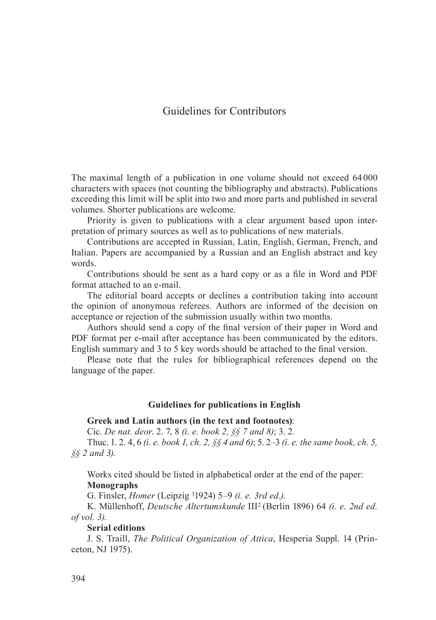# Guidelines for Contributors

The maximal length of a publication in one volume should not exceed 64 000 characters with spaces (not counting the bibliography and abstracts). Publications exceeding this limit will be split into two and more parts and published in several volumes. Shorter publications are welcome.

Priority is given to publications with a clear argument based upon interpretation of primary sources as well as to publications of new materials.

Contributions are accepted in Russian, Latin, English, German, French, and Italian. Papers are accompanied by a Russian and an English abstract and key words.

Contributions should be sent as a hard copy or as a file in Word and PDF format attached to an e-mail.

The editorial board accepts or declines a contribution taking into account the opinion of anonymous referees. Authors are informed of the decision on acceptance or rejection of the submission usually within two months.

Authors should send a copy of the final version of their paper in Word and PDF format per e-mail after acceptance has been communicated by the editors. English summary and 3 to 5 key words should be attached to the final version.

Please note that the rules for bibliographical references depend on the language of the paper.

### **Guidelines for publications in English**

#### **Greek and Latin authors (in the text and footnotes)**:

Cic. *De nat. deor*. 2. 7, 8 *(i. е. book 2, §§ 7 and 8)*; 3. 2.

Thuc. 1. 2. 4, 6 *(i. e. book 1, ch. 2, §§ 4 and 6)*; 5. 2–3 *(i. e. the same book, ch. 5, §§ 2 and 3)*.

Works cited should be listed in alphabetical order at the end of the paper: **Monographs**

G. Finsler, *Homer* (Leipzig 31924) 5–9 *(i. e. 3rd ed.)*.

K. Müllenhoff, *Deutsche Altertumskunde* III2 (Berlin 1896) 64 *(i. e. 2nd ed. of vol. 3)*.

**Serial editions**

J. S. Traill, *The Political Organization of Attica*, Hesperia Suppl. 14 (Princeton, NJ 1975).